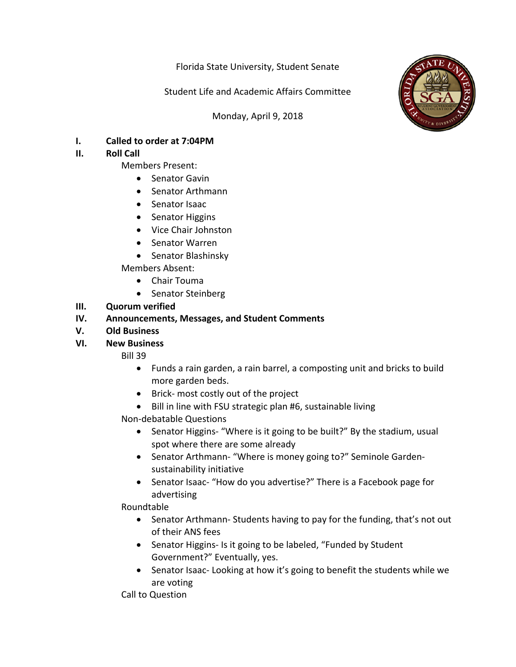Florida State University, Student Senate

Student Life and Academic Affairs Committee

Monday, April 9, 2018



**I.** Called to order at 7:04PM

### **II.** Roll Call

- Members Present:
	- Senator Gavin
	- Senator Arthmann
	- Senator Isaac
	- Senator Higgins
	- Vice Chair Johnston
	- Senator Warren
	- Senator Blashinsky

Members Absent: 

- Chair Touma
- Senator Steinberg

# **III.** Quorum verified

# **IV.** Announcements, Messages, and Student Comments

**V. Old Business**

# **VI. New Business**

Bill 39

- Funds a rain garden, a rain barrel, a composting unit and bricks to build more garden beds.
- Brick- most costly out of the project
- Bill in line with FSU strategic plan #6, sustainable living

Non-debatable Questions 

- Senator Higgins- "Where is it going to be built?" By the stadium, usual spot where there are some already
- Senator Arthmann- "Where is money going to?" Seminole Gardensustainability initiative
- Senator Isaac- "How do you advertise?" There is a Facebook page for advertising

# Roundtable

- Senator Arthmann- Students having to pay for the funding, that's not out of their ANS fees
- Senator Higgins- Is it going to be labeled, "Funded by Student Government?" Eventually, yes.
- Senator Isaac- Looking at how it's going to benefit the students while we are voting

Call to Question